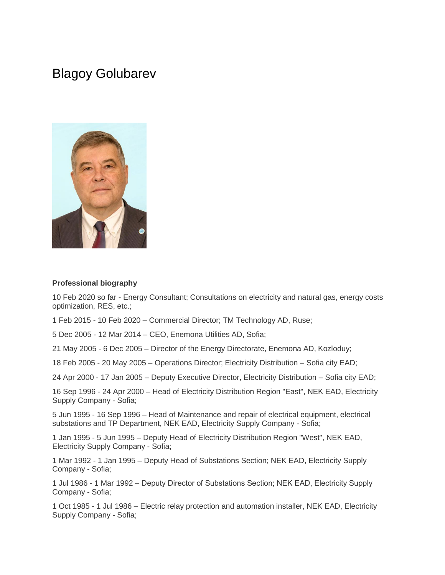# Blagoy Golubarev



#### **Professional biography**

10 Feb 2020 so far - Energy Consultant; Consultations on electricity and natural gas, energy costs optimization, RES, etc.;

1 Feb 2015 - 10 Feb 2020 – Commercial Director; TM Technology AD, Ruse;

5 Dec 2005 - 12 Mar 2014 – CEO, Enemona Utilities AD, Sofia;

21 May 2005 - 6 Dec 2005 – Director of the Energy Directorate, Enemona AD, Kozloduy;

18 Feb 2005 - 20 May 2005 – Operations Director; Electricity Distribution – Sofia city EAD;

24 Apr 2000 - 17 Jan 2005 – Deputy Executive Director, Electricity Distribution – Sofia city EAD;

16 Sep 1996 - 24 Apr 2000 – Head of Electricity Distribution Region "East", NEK EAD, Electricity Supply Company - Sofia;

5 Jun 1995 - 16 Sep 1996 – Head of Maintenance and repair of electrical equipment, electrical substations and TP Department, NEK EAD, Electricity Supply Company - Sofia;

1 Jan 1995 - 5 Jun 1995 – Deputy Head of Electricity Distribution Region "West", NEK EAD, Electricity Supply Compаny - Sofia;

1 Mar 1992 - 1 Jan 1995 – Deputy Head of Substations Section; NEK EAD, Electricity Supply Company - Sofia;

1 Jul 1986 - 1 Mar 1992 – Deputy Director of Substations Section; NEK EAD, Еlectricity Supply Company - Sofia;

1 Oct 1985 - 1 Jul 1986 – Electric relay protection and automation installer, NEK EAD, Electricity Supply Company - Sofia;